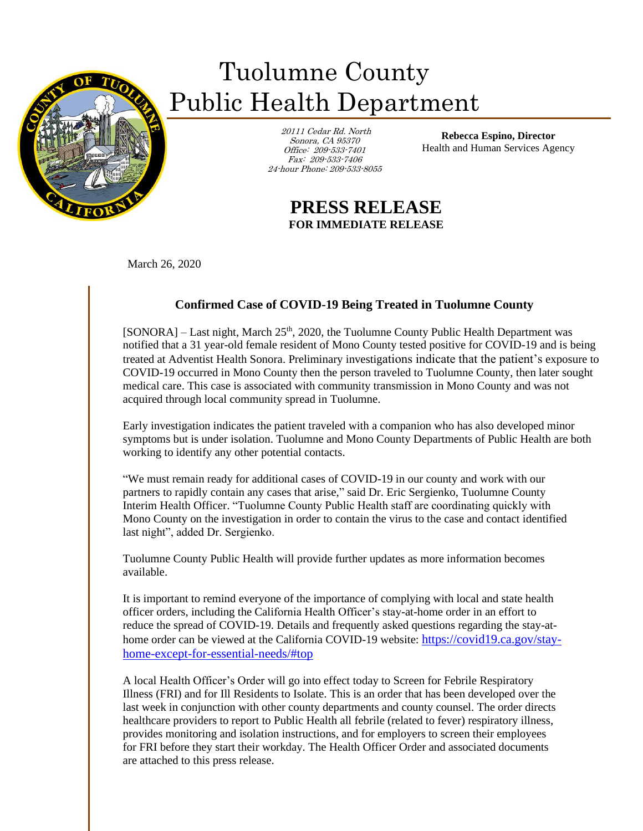## ś

## Tuolumne County Public Health Department

 20111 Cedar Rd. North Sonora, CA 95370 Office: 209-533-7401 Fax: 209-533-7406 24-hour Phone: 209-533-8055

**Rebecca Espino, Director** Health and Human Services Agency

## **PRESS RELEASE FOR IMMEDIATE RELEASE**

March 26, 2020

## **Confirmed Case of COVID-19 Being Treated in Tuolumne County**

[SONORA] – Last night, March 25<sup>th</sup>, 2020, the Tuolumne County Public Health Department was notified that a 31 year-old female resident of Mono County tested positive for COVID-19 and is being treated at Adventist Health Sonora. Preliminary investigations indicate that the patient's exposure to COVID-19 occurred in Mono County then the person traveled to Tuolumne County, then later sought medical care. This case is associated with community transmission in Mono County and was not acquired through local community spread in Tuolumne.

Early investigation indicates the patient traveled with a companion who has also developed minor symptoms but is under isolation. Tuolumne and Mono County Departments of Public Health are both working to identify any other potential contacts.

"We must remain ready for additional cases of COVID-19 in our county and work with our partners to rapidly contain any cases that arise," said Dr. Eric Sergienko, Tuolumne County Interim Health Officer. "Tuolumne County Public Health staff are coordinating quickly with Mono County on the investigation in order to contain the virus to the case and contact identified last night", added Dr. Sergienko.

Tuolumne County Public Health will provide further updates as more information becomes available.

It is important to remind everyone of the importance of complying with local and state health officer orders, including the California Health Officer's stay-at-home order in an effort to reduce the spread of COVID-19. Details and frequently asked questions regarding the stay-athome order can be viewed at the California COVID-19 website: [https://covid19.ca.gov/stay](https://covid19.ca.gov/stay-home-except-for-essential-needs/#top)[home-except-for-essential-needs/#top](https://covid19.ca.gov/stay-home-except-for-essential-needs/#top)

A local Health Officer's Order will go into effect today to Screen for Febrile Respiratory Illness (FRI) and for Ill Residents to Isolate. This is an order that has been developed over the last week in conjunction with other county departments and county counsel. The order directs healthcare providers to report to Public Health all febrile (related to fever) respiratory illness, provides monitoring and isolation instructions, and for employers to screen their employees for FRI before they start their workday. The Health Officer Order and associated documents are attached to this press release.